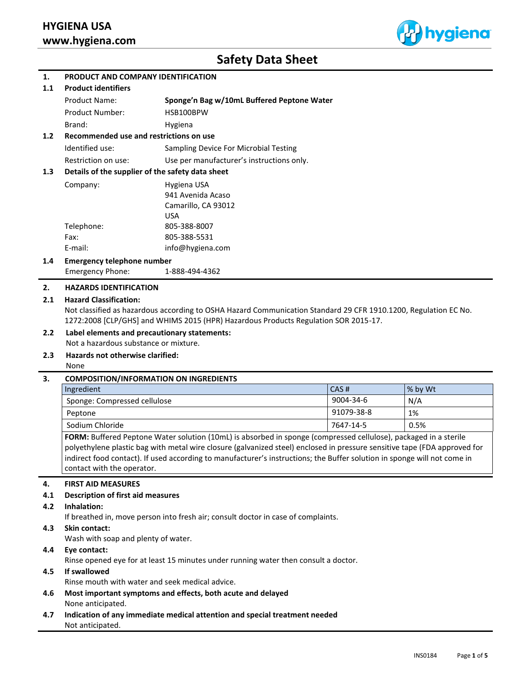

# **Safety Data Sheet**

## **1. PRODUCT AND COMPANY IDENTIFICATION**

#### **1.1 Product identifiers**

| <b>Product Name:</b>   | Sponge'n Bag w/10mL Buffered Peptone Water |
|------------------------|--------------------------------------------|
| <b>Product Number:</b> | HSB100BPW                                  |
| Brand:                 | Hygiena                                    |

# **1.2 Recommended use and restrictions on use** Identified use: Sampling Device For Microbial Testing Restriction on use: Use per manufacturer's instructions only.

## **1.3 Details of the supplier of the safety data sheet**

| Company:   | Hygiena USA         |
|------------|---------------------|
|            | 941 Avenida Acaso   |
|            | Camarillo, CA 93012 |
|            | USA                 |
| Telephone: | 805-388-8007        |
| Fax:       | 805-388-5531        |
| E-mail:    | info@hygiena.com    |
|            |                     |

## **1.4 Emergency telephone number**

Emergency Phone: 1-888-494-4362

## **2. HAZARDS IDENTIFICATION**

## **2.1 Hazard Classification:**

Not classified as hazardous according to OSHA Hazard Communication Standard 29 CFR 1910.1200, Regulation EC No. 1272:2008 [CLP/GHS] and WHIMS 2015 (HPR) Hazardous Products Regulation SOR 2015-17.

## **2.2 Label elements and precautionary statements:**

Not a hazardous substance or mixture.

## **2.3 Hazards not otherwise clarified:**

None

## **3. COMPOSITION/INFORMATION ON INGREDIENTS**

| Ingredient                   | CAS#       | $\frac{1}{2}$ by Wt |
|------------------------------|------------|---------------------|
| Sponge: Compressed cellulose | 9004-34-6  | N/A                 |
| Peptone                      | 91079-38-8 | 1%                  |
| Sodium Chloride              | 7647-14-5  | 0.5%                |

**FORM:** Buffered Peptone Water solution (10mL) is absorbed in sponge (compressed cellulose), packaged in a sterile polyethylene plastic bag with metal wire closure (galvanized steel) enclosed in pressure sensitive tape (FDA approved for indirect food contact). If used according to manufacturer's instructions; the Buffer solution in sponge will not come in contact with the operator.

## **4. FIRST AID MEASURES**

## **4.1 Description of first aid measures**

## **4.2 Inhalation:**

If breathed in, move person into fresh air; consult doctor in case of complaints.

**4.3 Skin contact:** 

Wash with soap and plenty of water.

## **4.4 Eye contact:**

Rinse opened eye for at least 15 minutes under running water then consult a doctor.

## **4.5 If swallowed**

Rinse mouth with water and seek medical advice.

- **4.6 Most important symptoms and effects, both acute and delayed** None anticipated.
- **4.7 Indication of any immediate medical attention and special treatment needed** Not anticipated.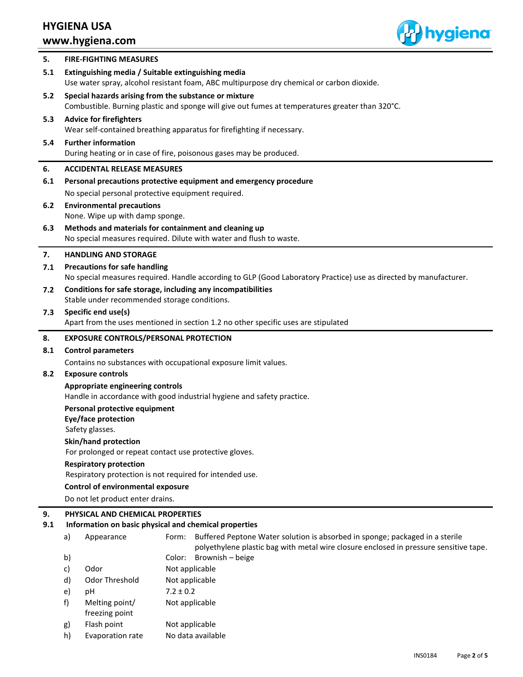

| 5.        |                                                                        | <b>FIRE-FIGHTING MEASURES</b>                                       |                                                                                                                                                          |
|-----------|------------------------------------------------------------------------|---------------------------------------------------------------------|----------------------------------------------------------------------------------------------------------------------------------------------------------|
| 5.1       |                                                                        |                                                                     | Extinguishing media / Suitable extinguishing media<br>Use water spray, alcohol resistant foam, ABC multipurpose dry chemical or carbon dioxide.          |
| 5.2       |                                                                        |                                                                     | Special hazards arising from the substance or mixture<br>Combustible. Burning plastic and sponge will give out fumes at temperatures greater than 320°C. |
| 5.3       |                                                                        | <b>Advice for firefighters</b>                                      | Wear self-contained breathing apparatus for firefighting if necessary.                                                                                   |
| 5.4       |                                                                        | <b>Further information</b>                                          | During heating or in case of fire, poisonous gases may be produced.                                                                                      |
| 6.        |                                                                        | <b>ACCIDENTAL RELEASE MEASURES</b>                                  |                                                                                                                                                          |
| 6.1       |                                                                        |                                                                     | Personal precautions protective equipment and emergency procedure                                                                                        |
|           |                                                                        |                                                                     | No special personal protective equipment required.                                                                                                       |
| 6.2       |                                                                        | <b>Environmental precautions</b><br>None. Wipe up with damp sponge. |                                                                                                                                                          |
| 6.3       |                                                                        |                                                                     | Methods and materials for containment and cleaning up<br>No special measures required. Dilute with water and flush to waste.                             |
| 7.        |                                                                        | <b>HANDLING AND STORAGE</b>                                         |                                                                                                                                                          |
| 7.1       |                                                                        | <b>Precautions for safe handling</b>                                |                                                                                                                                                          |
|           |                                                                        |                                                                     | No special measures required. Handle according to GLP (Good Laboratory Practice) use as directed by manufacturer.                                        |
| 7.2       |                                                                        |                                                                     | Conditions for safe storage, including any incompatibilities                                                                                             |
|           |                                                                        | Stable under recommended storage conditions.                        |                                                                                                                                                          |
| 7.3       |                                                                        | Specific end use(s)                                                 | Apart from the uses mentioned in section 1.2 no other specific uses are stipulated                                                                       |
| 8.        |                                                                        | <b>EXPOSURE CONTROLS/PERSONAL PROTECTION</b>                        |                                                                                                                                                          |
| 8.1       | <b>Control parameters</b>                                              |                                                                     |                                                                                                                                                          |
|           | Contains no substances with occupational exposure limit values.        |                                                                     |                                                                                                                                                          |
| 8.2       | <b>Exposure controls</b>                                               |                                                                     |                                                                                                                                                          |
|           | Appropriate engineering controls                                       |                                                                     |                                                                                                                                                          |
|           | Handle in accordance with good industrial hygiene and safety practice. |                                                                     |                                                                                                                                                          |
|           | Personal protective equipment<br>Eye/face protection                   |                                                                     |                                                                                                                                                          |
|           | Safety glasses.                                                        |                                                                     |                                                                                                                                                          |
|           |                                                                        | Skin/hand protection                                                |                                                                                                                                                          |
|           | For prolonged or repeat contact use protective gloves.                 |                                                                     |                                                                                                                                                          |
|           | <b>Respiratory protection</b>                                          |                                                                     |                                                                                                                                                          |
|           | Respiratory protection is not required for intended use.               |                                                                     |                                                                                                                                                          |
|           |                                                                        | <b>Control of environmental exposure</b>                            |                                                                                                                                                          |
|           |                                                                        | Do not let product enter drains.                                    |                                                                                                                                                          |
| 9.<br>9.1 |                                                                        | PHYSICAL AND CHEMICAL PROPERTIES                                    | Information on basic physical and chemical properties                                                                                                    |
|           | a)                                                                     | Appearance                                                          | Buffered Peptone Water solution is absorbed in sponge; packaged in a sterile<br>Form:                                                                    |
|           |                                                                        |                                                                     | polyethylene plastic bag with metal wire closure enclosed in pressure sensitive tape.                                                                    |
|           | b)                                                                     |                                                                     | Brownish - beige<br>Color:                                                                                                                               |
|           | c)                                                                     | Odor                                                                | Not applicable                                                                                                                                           |
|           | d)                                                                     | Odor Threshold                                                      | Not applicable                                                                                                                                           |
|           | e)                                                                     | рH                                                                  | $7.2 \pm 0.2$                                                                                                                                            |
|           | f)                                                                     | Melting point/<br>freezing point                                    | Not applicable                                                                                                                                           |
|           | g)                                                                     | Flash point                                                         | Not applicable                                                                                                                                           |
|           | h)                                                                     | Evaporation rate                                                    | No data available                                                                                                                                        |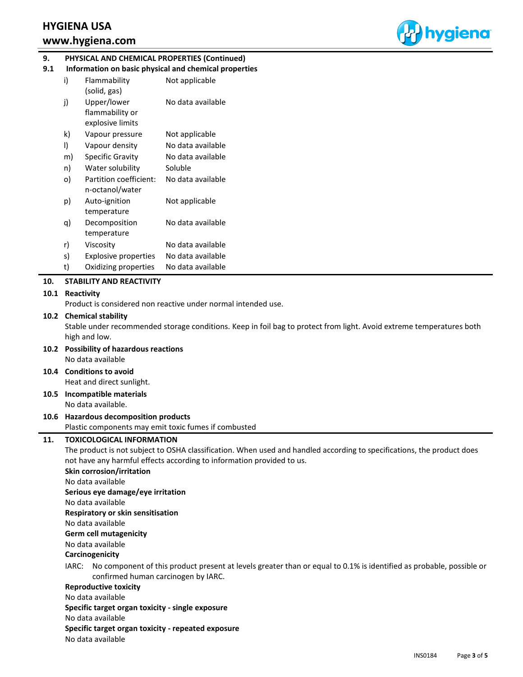

# **1. 9. PHYSICAL AND CHEMICAL PROPERTIES (Continued)**

| 9.1 | Information on basic physical and chemical properties |  |  |  |  |
|-----|-------------------------------------------------------|--|--|--|--|
|-----|-------------------------------------------------------|--|--|--|--|

| i) | Flammability<br>(solid, gas)                       | Not applicable    |
|----|----------------------------------------------------|-------------------|
| j) | Upper/lower<br>flammability or<br>explosive limits | No data available |
| k) | Vapour pressure                                    | Not applicable    |
| I) | Vapour density                                     | No data available |
| m) | Specific Gravity                                   | No data available |
| n) | Water solubility                                   | Soluble           |
| o) | Partition coefficient:<br>n-octanol/water          | No data available |
| p) | Auto-ignition<br>temperature                       | Not applicable    |
| q) | Decomposition<br>temperature                       | No data available |
| r) | Viscositv                                          | No data available |
| s) | <b>Explosive properties</b>                        | No data available |
| t) | Oxidizing properties                               | No data available |

## **10. STABILITY AND REACTIVITY**

## **10.1 Reactivity**

Product is considered non reactive under normal intended use.

## **10.2 Chemical stability**

Stable under recommended storage conditions. Keep in foil bag to protect from light. Avoid extreme temperatures both high and low.

#### **10.2 Possibility of hazardous reactions** No data available

**10.4 Conditions to avoid** Heat and direct sunlight.

**10.5 Incompatible materials**

No data available.

## **10.6 Hazardous decomposition products** Plastic components may emit toxic fumes if combusted

**11. TOXICOLOGICAL INFORMATION**

The product is not subject to OSHA classification. When used and handled according to specifications, the product does not have any harmful effects according to information provided to us.

## **Skin corrosion/irritation** No data available

**Serious eye damage/eye irritation**

No data available

**Respiratory or skin sensitisation**

No data available

**Germ cell mutagenicity**

## No data available

# **Carcinogenicity**

IARC: No component of this product present at levels greater than or equal to 0.1% is identified as probable, possible or confirmed human carcinogen by IARC.

## **Reproductive toxicity**

No data available

**Specific target organ toxicity - single exposure**

No data available

## **Specific target organ toxicity - repeated exposure**

No data available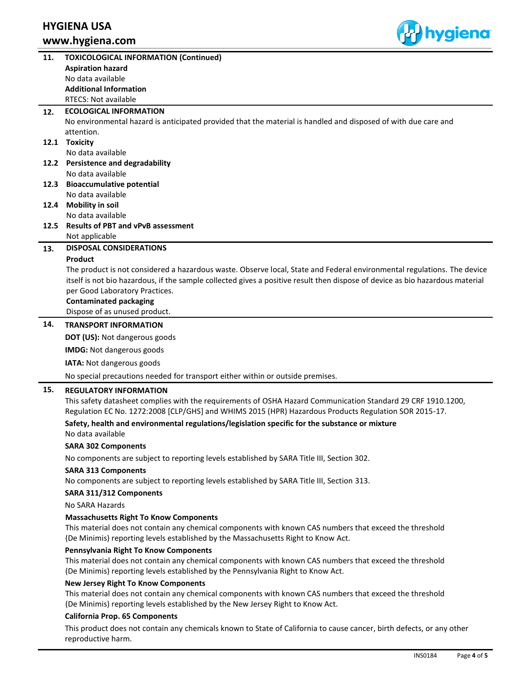

| 11.  | <b>TOXICOLOGICAL INFORMATION (Continued)</b>                                                                                                                                              |
|------|-------------------------------------------------------------------------------------------------------------------------------------------------------------------------------------------|
|      | <b>Aspiration hazard</b>                                                                                                                                                                  |
|      | No data available                                                                                                                                                                         |
|      | <b>Additional Information</b>                                                                                                                                                             |
|      | RTECS: Not available                                                                                                                                                                      |
| 12.  | <b>ECOLOGICAL INFORMATION</b>                                                                                                                                                             |
|      | No environmental hazard is anticipated provided that the material is handled and disposed of with due care and                                                                            |
|      | attention.                                                                                                                                                                                |
|      | 12.1 Toxicity                                                                                                                                                                             |
|      | No data available                                                                                                                                                                         |
|      | 12.2 Persistence and degradability                                                                                                                                                        |
|      | No data available                                                                                                                                                                         |
| 12.3 | <b>Bioaccumulative potential</b>                                                                                                                                                          |
|      | No data available                                                                                                                                                                         |
| 12.4 | <b>Mobility in soil</b>                                                                                                                                                                   |
|      | No data available                                                                                                                                                                         |
| 12.5 | <b>Results of PBT and vPvB assessment</b>                                                                                                                                                 |
|      | Not applicable                                                                                                                                                                            |
| 13.  | <b>DISPOSAL CONSIDERATIONS</b>                                                                                                                                                            |
|      | Product                                                                                                                                                                                   |
|      | The product is not considered a hazardous waste. Observe local, State and Federal environmental regulations. The device                                                                   |
|      | itself is not bio hazardous, if the sample collected gives a positive result then dispose of device as bio hazardous material                                                             |
|      | per Good Laboratory Practices.                                                                                                                                                            |
|      | <b>Contaminated packaging</b>                                                                                                                                                             |
|      | Dispose of as unused product.                                                                                                                                                             |
| 14.  | <b>TRANSPORT INFORMATION</b>                                                                                                                                                              |
|      | <b>DOT (US): Not dangerous goods</b>                                                                                                                                                      |
|      | <b>IMDG:</b> Not dangerous goods                                                                                                                                                          |
|      | IATA: Not dangerous goods                                                                                                                                                                 |
|      |                                                                                                                                                                                           |
|      | No special precautions needed for transport either within or outside premises.                                                                                                            |
| 15.  | <b>REGULATORY INFORMATION</b>                                                                                                                                                             |
|      | This safety datasheet complies with the requirements of OSHA Hazard Communication Standard 29 CRF 1910.1200,                                                                              |
|      | Regulation EC No. 1272:2008 [CLP/GHS] and WHIMS 2015 (HPR) Hazardous Products Regulation SOR 2015-17.                                                                                     |
|      | Safety, health and environmental regulations/legislation specific for the substance or mixture                                                                                            |
|      | No data available                                                                                                                                                                         |
|      | <b>SARA 302 Components</b>                                                                                                                                                                |
|      | No components are subject to reporting levels established by SARA Title III, Section 302.                                                                                                 |
|      | <b>SARA 313 Components</b>                                                                                                                                                                |
|      | No components are subject to reporting levels established by SARA Title III, Section 313.                                                                                                 |
|      | SARA 311/312 Components                                                                                                                                                                   |
|      | No SARA Hazards                                                                                                                                                                           |
|      | <b>Massachusetts Right To Know Components</b>                                                                                                                                             |
|      | This material does not contain any chemical components with known CAS numbers that exceed the threshold                                                                                   |
|      | (De Minimis) reporting levels established by the Massachusetts Right to Know Act.                                                                                                         |
|      | Pennsylvania Right To Know Components                                                                                                                                                     |
|      | This material does not contain any chemical components with known CAS numbers that exceed the threshold                                                                                   |
|      | (De Minimis) reporting levels established by the Pennsylvania Right to Know Act.                                                                                                          |
|      |                                                                                                                                                                                           |
|      | New Jersey Right To Know Components                                                                                                                                                       |
|      | This material does not contain any chemical components with known CAS numbers that exceed the threshold<br>(De Minimis) reporting levels established by the New Jersey Right to Know Act. |
|      |                                                                                                                                                                                           |
|      | <b>California Prop. 65 Components</b>                                                                                                                                                     |
|      | This product does not contain any chemicals known to State of California to cause cancer, birth defects, or any other                                                                     |
|      | reproductive harm.                                                                                                                                                                        |